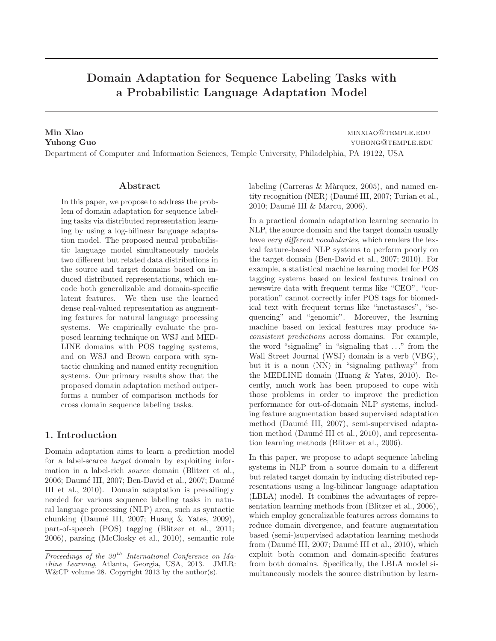# Domain Adaptation for Sequence Labeling Tasks with a Probabilistic Language Adaptation Model

Min Xiao minxiao minxiao minxiao minxiao minxiao minxiao minxiao minxiao minxiao minxiao minxiao minxiao minxi **Yuhong Guo Guoding Cuo** yuhong Cuo

Department of Computer and Information Sciences, Temple University, Philadelphia, PA 19122, USA

# Abstract

In this paper, we propose to address the problem of domain adaptation for sequence labeling tasks via distributed representation learning by using a log-bilinear language adaptation model. The proposed neural probabilistic language model simultaneously models two different but related data distributions in the source and target domains based on induced distributed representations, which encode both generalizable and domain-specific latent features. We then use the learned dense real-valued representation as augmenting features for natural language processing systems. We empirically evaluate the proposed learning technique on WSJ and MED-LINE domains with POS tagging systems, and on WSJ and Brown corpora with syntactic chunking and named entity recognition systems. Our primary results show that the proposed domain adaptation method outperforms a number of comparison methods for cross domain sequence labeling tasks.

# 1. Introduction

Domain adaptation aims to learn a prediction model for a label-scarce target domain by exploiting information in a label-rich source domain (Blitzer et al., 2006; Daumé III, 2007; Ben-David et al., 2007; Daumé III et al., 2010). Domain adaptation is prevailingly needed for various sequence labeling tasks in natural language processing (NLP) area, such as syntactic chunking (Daumé III, 2007; Huang  $\&$  Yates, 2009), part-of-speech (POS) tagging (Blitzer et al., 2011; 2006), parsing (McClosky et al., 2010), semantic role labeling (Carreras & Màrquez, 2005), and named entity recognition (NER) (Daumé III, 2007; Turian et al., 2010; Daumé III & Marcu, 2006).

In a practical domain adaptation learning scenario in NLP, the source domain and the target domain usually have very different vocabularies, which renders the lexical feature-based NLP systems to perform poorly on the target domain (Ben-David et al., 2007; 2010). For example, a statistical machine learning model for POS tagging systems based on lexical features trained on newswire data with frequent terms like "CEO", "corporation" cannot correctly infer POS tags for biomedical text with frequent terms like "metastases", "sequencing" and "genomic". Moreover, the learning machine based on lexical features may produce inconsistent predictions across domains. For example, the word "signaling" in "signaling that . . ." from the Wall Street Journal (WSJ) domain is a verb (VBG), but it is a noun (NN) in "signaling pathway" from the MEDLINE domain (Huang & Yates, 2010). Recently, much work has been proposed to cope with those problems in order to improve the prediction performance for out-of-domain NLP systems, including feature augmentation based supervised adaptation method (Daumé III, 2007), semi-supervised adaptation method (Daumé III et al., 2010), and representation learning methods (Blitzer et al., 2006).

In this paper, we propose to adapt sequence labeling systems in NLP from a source domain to a different but related target domain by inducing distributed representations using a log-bilinear language adaptation (LBLA) model. It combines the advantages of representation learning methods from (Blitzer et al., 2006), which employ generalizable features across domains to reduce domain divergence, and feature augmentation based (semi-)supervised adaptation learning methods from (Daumé III, 2007; Daumé III et al., 2010), which exploit both common and domain-specific features from both domains. Specifically, the LBLA model simultaneously models the source distribution by learn-

Proceedings of the  $30<sup>th</sup>$  International Conference on Machine Learning, Atlanta, Georgia, USA, 2013. JMLR: W&CP volume 28. Copyright 2013 by the author(s).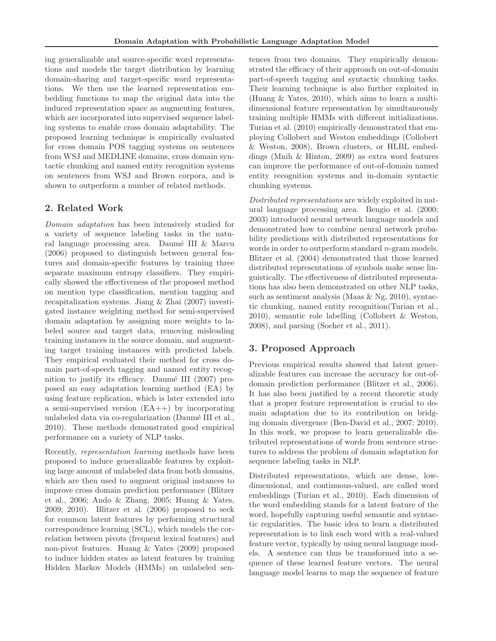ing generalizable and source-specific word representations and models the target distribution by learning domain-sharing and target-specific word representations. We then use the learned representation embedding functions to map the original data into the induced representation space as augmenting features, which are incorporated into supervised sequence labeling systems to enable cross domain adaptability. The proposed learning technique is empirically evaluated for cross domain POS tagging systems on sentences from WSJ and MEDLINE domains, cross domain syntactic chunking and named entity recognition systems on sentences from WSJ and Brown corpora, and is shown to outperform a number of related methods.

# 2. Related Work

Domain adaptation has been intensively studied for a variety of sequence labeling tasks in the natural language processing area. Daumé III  $&$  Marcu (2006) proposed to distinguish between general features and domain-specific features by training three separate maximum entropy classifiers. They empirically showed the effectiveness of the proposed method on mention type classification, mention tagging and recapitalization systems. Jiang & Zhai (2007) investigated instance weighting method for semi-supervised domain adaptation by assigning more weights to labeled source and target data, removing misleading training instances in the source domain, and augmenting target training instances with predicted labels. They empirical evaluated their method for cross domain part-of-speech tagging and named entity recognition to justify its efficacy. Daumé III  $(2007)$  proposed an easy adaptation learning method (EA) by using feature replication, which is later extended into a semi-supervised version (EA++) by incorporating unlabeled data via co-regularization (Daumé III et al., 2010). These methods demonstrated good empirical performance on a variety of NLP tasks.

Recently, representation learning methods have been proposed to induce generalizable features by exploiting large amount of unlabeled data from both domains, which are then used to augment original instances to improve cross domain prediction performance (Blitzer et al., 2006; Ando & Zhang, 2005; Huang & Yates, 2009; 2010). Blitzer et al. (2006) proposed to seek for common latent features by performing structural correspondence learning (SCL), which models the correlation between pivots (frequent lexical features) and non-pivot features. Huang & Yates (2009) proposed to induce hidden states as latent features by training Hidden Markov Models (HMMs) on unlabeled sen-

tences from two domains. They empirically demonstrated the efficacy of their approach on out-of-domain part-of-speech tagging and syntactic chunking tasks. Their learning technique is also further exploited in (Huang & Yates, 2010), which aims to learn a multidimensional feature representation by simultaneously training multiple HMMs with different initializations. Turian et al. (2010) empirically demonstrated that employing Collobert and Weston embeddings (Collobert & Weston, 2008), Brown clusters, or HLBL embeddings (Mnih & Hinton, 2009) as extra word features can improve the performance of out-of-domain named entity recognition systems and in-domain syntactic chunking systems.

Distributed representations are widely exploited in natural language processing area. Bengio et al. (2000; 2003) introduced neural network language models and demonstrated how to combine neural network probability predictions with distributed representations for words in order to outperform standard *n*-gram models. Blitzer et al. (2004) demonstrated that those learned distributed representations of symbols make sense linguistically. The effectiveness of distributed representations has also been demonstrated on other NLP tasks, such as sentiment analysis (Maas  $\&$  Ng, 2010), syntactic chunking, named entity recognition(Turian et al., 2010), semantic role labelling (Collobert & Weston, 2008), and parsing (Socher et al., 2011).

# 3. Proposed Approach

Previous empirical results showed that latent generalizable features can increase the accuracy for out-ofdomain prediction performance (Blitzer et al., 2006). It has also been justified by a recent theoretic study that a proper feature representation is crucial to domain adaptation due to its contribution on bridging domain divergence (Ben-David et al., 2007; 2010). In this work, we propose to learn generalizable distributed representations of words from sentence structures to address the problem of domain adaptation for sequence labeling tasks in NLP.

Distributed representations, which are dense, lowdimensional, and continuous-valued, are called word embeddings (Turian et al., 2010). Each dimension of the word embedding stands for a latent feature of the word, hopefully capturing useful semantic and syntactic regularities. The basic idea to learn a distributed representation is to link each word with a real-valued feature vector, typically by using neural language models. A sentence can thus be transformed into a sequence of these learned feature vectors. The neural language model learns to map the sequence of feature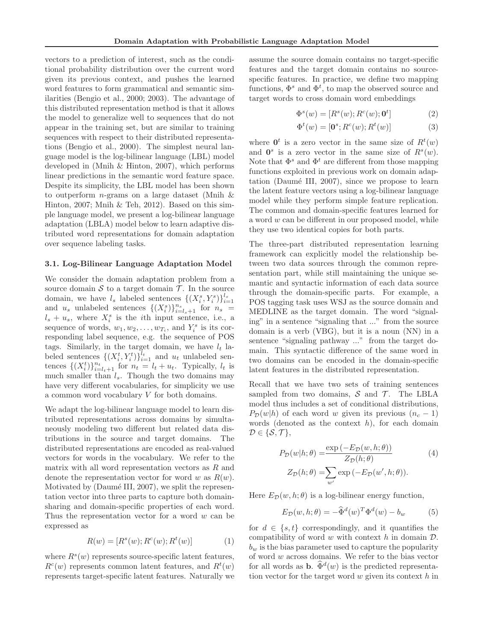vectors to a prediction of interest, such as the conditional probability distribution over the current word given its previous context, and pushes the learned word features to form grammatical and semantic similarities (Bengio et al., 2000; 2003). The advantage of this distributed representation method is that it allows the model to generalize well to sequences that do not appear in the training set, but are similar to training sequences with respect to their distributed representations (Bengio et al., 2000). The simplest neural language model is the log-bilinear language (LBL) model developed in (Mnih & Hinton, 2007), which performs linear predictions in the semantic word feature space. Despite its simplicity, the LBL model has been shown to outperform *n*-grams on a large dataset (Mnih  $\&$ Hinton, 2007; Mnih & Teh, 2012). Based on this simple language model, we present a log-bilinear language adaptation (LBLA) model below to learn adaptive distributed word representations for domain adaptation over sequence labeling tasks.

#### 3.1. Log-Bilinear Language Adaptation Model

We consider the domain adaptation problem from a source domain  $S$  to a target domain  $T$ . In the source domain, we have  $l_s$  labeled sentences  $\{(X_i^s, Y_i^s)\}_{i=1}^{l_s}$ and  $u_s$  unlabeled sentences  $\{(X_i^s)\}_{i=l_s+1}^{n_s}$  for  $n_s =$  $l_s + u_s$ , where  $X_i^s$  is the *i*th input sentence, i.e., a sequence of words,  $w_1, w_2, \ldots, w_{T_i}$ , and  $Y_i^s$  is its corresponding label sequence, e.g. the sequence of POS tags. Similarly, in the target domain, we have  $l_t$  labeled sentences  $\{(X_i^t, Y_i^t)\}_{i=1}^{\overline{l}_t}$  and  $u_t$  unlabeled sentences  $\{(X_i^t)\}_{i=l_t+1}^{n_t}$  for  $n_t = l_t + u_t$ . Typically,  $l_t$  is much smaller than  $l_s$ . Though the two domains may have very different vocabularies, for simplicity we use a common word vocabulary V for both domains.

We adapt the log-bilinear language model to learn distributed representations across domains by simultaneously modeling two different but related data distributions in the source and target domains. The distributed representations are encoded as real-valued vectors for words in the vocabulary. We refer to the matrix with all word representation vectors as R and denote the representation vector for word w as  $R(w)$ . Motivated by (Daumé III, 2007), we split the representation vector into three parts to capture both domainsharing and domain-specific properties of each word. Thus the representation vector for a word  $w$  can be expressed as

$$
R(w) = [Rs(w); Rc(w); Rt(w)]
$$
 (1)

where  $R^{s}(w)$  represents source-specific latent features,  $R<sup>c</sup>(w)$  represents common latent features, and  $R<sup>t</sup>(w)$ represents target-specific latent features. Naturally we

assume the source domain contains no target-specific features and the target domain contains no sourcespecific features. In practice, we define two mapping functions,  $\Phi^s$  and  $\Phi^t$ , to map the observed source and target words to cross domain word embeddings

$$
\Phi^s(w) = [R^s(w); R^c(w); \mathbf{0}^t]
$$
\n(2)

$$
\Phi^t(w) = [\mathbf{0}^s; R^c(w); R^t(w)] \tag{3}
$$

where  $\mathbf{0}^t$  is a zero vector in the same size of  $R^t(w)$ and  $\mathbf{0}^s$  is a zero vector in the same size of  $R^s(w)$ . Note that  $\Phi^s$  and  $\Phi^t$  are different from those mapping functions exploited in previous work on domain adaptation (Daumé III, 2007), since we propose to learn the latent feature vectors using a log-bilinear language model while they perform simple feature replication. The common and domain-specific features learned for a word w can be different in our proposed model, while they use two identical copies for both parts.

The three-part distributed representation learning framework can explicitly model the relationship between two data sources through the common representation part, while still maintaining the unique semantic and syntactic information of each data source through the domain-specific parts. For example, a POS tagging task uses WSJ as the source domain and MEDLINE as the target domain. The word "signaling" in a sentence "signaling that ..." from the source domain is a verb (VBG), but it is a noun (NN) in a sentence "signaling pathway ..." from the target domain. This syntactic difference of the same word in two domains can be encoded in the domain-specific latent features in the distributed representation.

Recall that we have two sets of training sentences sampled from two domains,  $S$  and  $T$ . The LBLA model thus includes a set of conditional distributions,  $P_{\mathcal{D}}(w|h)$  of each word w given its previous  $(n_c - 1)$ words (denoted as the context  $h$ ), for each domain  $\mathcal{D} \in \{\mathcal{S}, \mathcal{T}\},\$ 

$$
P_{\mathcal{D}}(w|h; \theta) = \frac{\exp(-E_{\mathcal{D}}(w, h; \theta))}{Z_{\mathcal{D}}(h; \theta)}
$$
(4)  

$$
Z_{\mathcal{D}}(h; \theta) = \sum_{w'} \exp(-E_{\mathcal{D}}(w', h; \theta)).
$$

Here  $E_{\mathcal{D}}(w, h; \theta)$  is a log-bilinear energy function,

$$
E_{\mathcal{D}}(w, h; \theta) = -\widehat{\Phi}^{d}(w)^{T} \Phi^{d}(w) - b_{w}
$$
 (5)

for  $d \in \{s, t\}$  correspondingly, and it quantifies the compatibility of word  $w$  with context  $h$  in domain  $\mathcal{D}$ .  $b_w$  is the bias parameter used to capture the popularity of word  $w$  across domains. We refer to the bias vector for all words as **b**.  $\widehat{\Phi}^d(w)$  is the predicted representation vector for the target word  $w$  given its context  $h$  in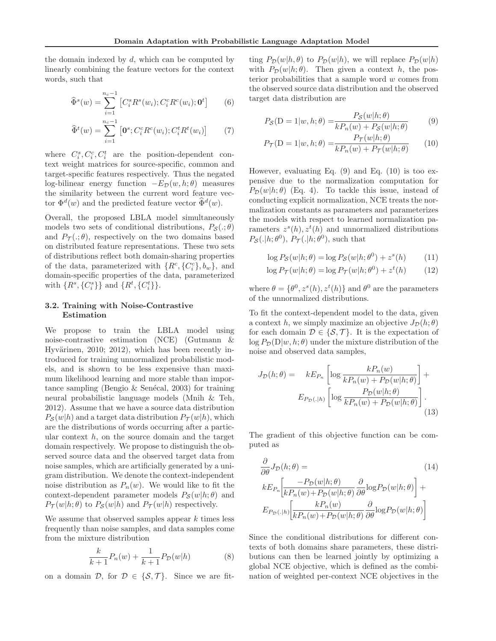the domain indexed by  $d$ , which can be computed by linearly combining the feature vectors for the context words, such that

$$
\widehat{\Phi}^s(w) = \sum_{i=1}^{n_c - 1} \left[ C_i^s R^s(w_i); C_i^c R^c(w_i); \mathbf{0}^t \right] \tag{6}
$$

$$
\widehat{\Phi}^t(w) = \sum_{i=1}^{n_c - 1} \left[ \mathbf{0}^s; C_i^c R^c(w_i); C_i^t R^t(w_i) \right] \tag{7}
$$

where  $C_i^s, C_i^c, C_i^t$  are the position-dependent context weight matrices for source-specific, common and target-specific features respectively. Thus the negated log-bilinear energy function  $-E_{\mathcal{D}}(w, h; \theta)$  measures the similarity between the current word feature vector  $\Phi^d(w)$  and the predicted feature vector  $\widehat{\Phi}^d(w)$ .

Overall, the proposed LBLA model simultaneously models two sets of conditional distributions,  $P_{\mathcal{S}}(:,\theta)$ and  $P_{\mathcal{T}}(.\;,\theta)$ , respectively on the two domains based on distributed feature representations. These two sets of distributions reflect both domain-sharing properties of the data, parameterized with  $\{R^c, \{C_i^c\}, b_w\}$ , and domain-specific properties of the data, parameterized with  $\{R^s, \{C_i^s\}\}\$  and  $\{R^t, \{C_i^t\}\}\$ .

# 3.2. Training with Noise-Contrastive Estimation

We propose to train the LBLA model using noise-contrastive estimation (NCE) (Gutmann & Hyvärinen, 2010; 2012), which has been recently introduced for training unnormalized probabilistic models, and is shown to be less expensive than maximum likelihood learning and more stable than importance sampling (Bengio & Senécal, 2003) for training neural probabilistic language models (Mnih & Teh, 2012). Assume that we have a source data distribution  $P_{\mathcal{S}}(w|h)$  and a target data distribution  $P_{\mathcal{T}}(w|h)$ , which are the distributions of words occurring after a particular context  $h$ , on the source domain and the target domain respectively. We propose to distinguish the observed source data and the observed target data from noise samples, which are artificially generated by a unigram distribution. We denote the context-independent noise distribution as  $P_n(w)$ . We would like to fit the context-dependent parameter models  $P_{\mathcal{S}}(w|h; \theta)$  and  $P_{\mathcal{T}}(w|h;\theta)$  to  $P_{\mathcal{S}}(w|h)$  and  $P_{\mathcal{T}}(w|h)$  respectively.

We assume that observed samples appear  $k$  times less frequently than noise samples, and data samples come from the mixture distribution

$$
\frac{k}{k+1}P_n(w) + \frac{1}{k+1}P_{\mathcal{D}}(w|h)
$$
 (8)

on a domain  $\mathcal{D}$ , for  $\mathcal{D} \in \{S, \mathcal{T}\}\$ . Since we are fit-

ting  $P_{\mathcal{D}}(w|h, \theta)$  to  $P_{\mathcal{D}}(w|h)$ , we will replace  $P_{\mathcal{D}}(w|h)$ with  $P_{\mathcal{D}}(w|h; \theta)$ . Then given a context h, the posterior probabilities that a sample word  $w$  comes from the observed source data distribution and the observed target data distribution are

$$
P_{\mathcal{S}}(\mathbf{D} = 1 | w, h; \theta) = \frac{P_{\mathcal{S}}(w | h; \theta)}{k P_n(w) + P_{\mathcal{S}}(w | h; \theta)} \tag{9}
$$

$$
P_{\mathcal{T}}(\mathbf{D} = 1 | w, h; \theta) = \frac{P_{\mathcal{T}}(w | h; \theta)}{k P_n(w) + P_{\mathcal{T}}(w | h; \theta)} \tag{10}
$$

However, evaluating Eq.  $(9)$  and Eq.  $(10)$  is too expensive due to the normalization computation for  $P_{\mathcal{D}}(w|h;\theta)$  (Eq. 4). To tackle this issue, instead of conducting explicit normalization, NCE treats the normalization constants as parameters and parameterizes the models with respect to learned normalization parameters  $z^{s}(h), z^{t}(h)$  and unnormalized distributions  $P_{\mathcal{S}}(.|h; \theta^0), P_{\mathcal{T}}(.|h; \theta^0),$  such that

$$
\log P_{\mathcal{S}}(w|h; \theta) = \log P_{\mathcal{S}}(w|h; \theta^0) + z^s(h) \tag{11}
$$

$$
\log P_{\mathcal{T}}(w|h; \theta) = \log P_{\mathcal{T}}(w|h; \theta^0) + z^t(h) \tag{12}
$$

where  $\theta = {\theta^0, z^s(h), z^t(h)}$  and  $\theta^0$  are the parameters of the unnormalized distributions.

To fit the context-dependent model to the data, given a context h, we simply maximize an objective  $J_{\mathcal{D}}(h; \theta)$ for each domain  $\mathcal{D} \in \{\mathcal{S},\mathcal{T}\}\$ . It is the expectation of  $\log P_{\mathcal{D}}(D|w, h; \theta)$  under the mixture distribution of the noise and observed data samples,

$$
J_{\mathcal{D}}(h; \theta) = kE_{P_n} \left[ \log \frac{kP_n(w)}{kP_n(w) + P_{\mathcal{D}}(w|h; \theta)} \right] +
$$

$$
E_{P_{\mathcal{D}}(\cdot|h)} \left[ \log \frac{P_{\mathcal{D}}(w|h; \theta)}{kP_n(w) + P_{\mathcal{D}}(w|h; \theta)} \right].
$$
(13)

The gradient of this objective function can be computed as

$$
\frac{\partial}{\partial \theta} J_{\mathcal{D}}(h; \theta) = \qquad (14)
$$
\n
$$
k E_{P_n} \left[ \frac{-P_{\mathcal{D}}(w|h; \theta)}{k P_n(w) + P_{\mathcal{D}}(w|h; \theta)} \frac{\partial}{\partial \theta} \log P_{\mathcal{D}}(w|h; \theta) \right] +
$$
\n
$$
E_{P_{\mathcal{D}}(\cdot|h)} \left[ \frac{k P_n(w)}{k P_n(w) + P_{\mathcal{D}}(w|h; \theta)} \frac{\partial}{\partial \theta} \log P_{\mathcal{D}}(w|h; \theta) \right]
$$

Since the conditional distributions for different contexts of both domains share parameters, these distributions can then be learned jointly by optimizing a global NCE objective, which is defined as the combination of weighted per-context NCE objectives in the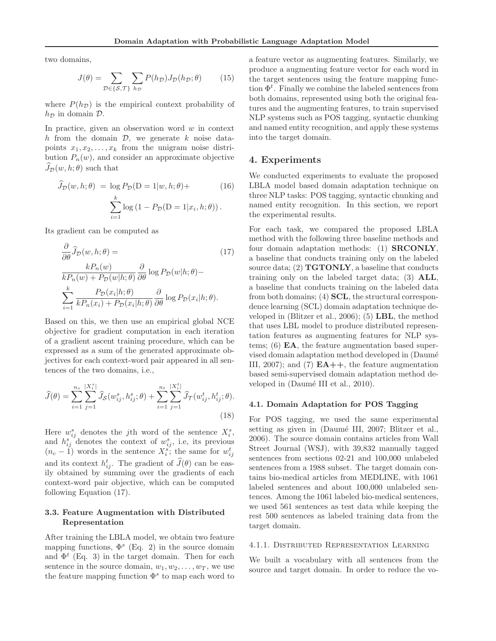two domains,

$$
J(\theta) = \sum_{\mathcal{D} \in \{S, \mathcal{T}\}} \sum_{h_{\mathcal{D}}} P(h_{\mathcal{D}}) J_{\mathcal{D}}(h_{\mathcal{D}}; \theta) \tag{15}
$$

where  $P(h_{\mathcal{D}})$  is the empirical context probability of  $h_{\mathcal{D}}$  in domain  $\mathcal{D}$ .

In practice, given an observation word  $w$  in context h from the domain  $\mathcal{D}$ , we generate k noise datapoints  $x_1, x_2, \ldots, x_k$  from the unigram noise distribution  $P_n(w)$ , and consider an approximate objective  $J_{\mathcal{D}}(w, h; \theta)$  such that

$$
\widehat{J}_{\mathcal{D}}(w, h; \theta) = \log P_{\mathcal{D}}(D = 1 | w, h; \theta) +
$$
\n
$$
\sum_{i=1}^{k} \log (1 - P_{\mathcal{D}}(D = 1 | x_i, h; \theta)).
$$
\n(16)

Its gradient can be computed as

$$
\frac{\partial}{\partial \theta} \hat{J}_{\mathcal{D}}(w, h; \theta) =
$$
\n
$$
\frac{k P_n(w)}{k P_n(w) + P_{\mathcal{D}}(w|h; \theta)} \frac{\partial}{\partial \theta} \log P_{\mathcal{D}}(w|h; \theta) -
$$
\n
$$
\sum_{i=1}^k \frac{P_{\mathcal{D}}(x_i|h; \theta)}{k P_n(x_i) + P_{\mathcal{D}}(x_i|h; \theta)} \frac{\partial}{\partial \theta} \log P_{\mathcal{D}}(x_i|h; \theta).
$$
\n(17)

Based on this, we then use an empirical global NCE objective for gradient computation in each iteration of a gradient ascent training procedure, which can be expressed as a sum of the generated approximate objectives for each context-word pair appeared in all sentences of the two domains, i.e.,

$$
\widehat{J}(\theta) = \sum_{i=1}^{n_s} \sum_{j=1}^{|X_i^s|} \widehat{J}_{\mathcal{S}}(w_{ij}^s, h_{ij}^s; \theta) + \sum_{i=1}^{n_t} \sum_{j=1}^{|X_i^t|} \widehat{J}_{\mathcal{T}}(w_{ij}^t, h_{ij}^t; \theta).
$$
\n(18)

Here  $w_{ij}^s$  denotes the jth word of the sentence  $X_i^s$ , and  $h_{ij}^s$  denotes the context of  $w_{ij}^s$ , i.e, its previous  $(n_c - 1)$  words in the sentence  $X_i^s$ ; the same for  $w_{ij}^t$ and its context  $h_{ij}^t$ . The gradient of  $\widehat{J}(\theta)$  can be easily obtained by summing over the gradients of each context-word pair objective, which can be computed following Equation (17).

# 3.3. Feature Augmentation with Distributed Representation

After training the LBLA model, we obtain two feature mapping functions,  $\Phi^s$  (Eq. 2) in the source domain and  $\Phi^t$  (Eq. 3) in the target domain. Then for each sentence in the source domain,  $w_1, w_2, \ldots, w_T$ , we use the feature mapping function  $\Phi^s$  to map each word to a feature vector as augmenting features. Similarly, we produce a augmenting feature vector for each word in the target sentences using the feature mapping function  $\Phi^t$ . Finally we combine the labeled sentences from both domains, represented using both the original features and the augmenting features, to train supervised NLP systems such as POS tagging, syntactic chunking and named entity recognition, and apply these systems into the target domain.

#### 4. Experiments

We conducted experiments to evaluate the proposed LBLA model based domain adaptation technique on three NLP tasks: POS tagging, syntactic chunking and named entity recognition. In this section, we report the experimental results.

For each task, we compared the proposed LBLA method with the following three baseline methods and four domain adaptation methods: (1) SRCONLY, a baseline that conducts training only on the labeled source data;  $(2)$  **TGTONLY**, a baseline that conducts training only on the labeled target data; (3) ALL, a baseline that conducts training on the labeled data from both domains; (4) SCL, the structural correspondence learning (SCL) domain adaptation technique developed in (Blitzer et al., 2006); (5) LBL, the method that uses LBL model to produce distributed representation features as augmenting features for NLP systems; (6)  $EA$ , the feature augmentation based supervised domain adaptation method developed in (Daumé III, 2007); and (7)  $EA++$ , the feature augmentation based semi-supervised domain adaptation method developed in (Daumé III et al., 2010).

#### 4.1. Domain Adaptation for POS Tagging

For POS tagging, we used the same experimental setting as given in (Daumé III, 2007; Blitzer et al., 2006). The source domain contains articles from Wall Street Journal (WSJ), with 39,832 manually tagged sentences from sections 02-21 and 100,000 unlabeled sentences from a 1988 subset. The target domain contains bio-medical articles from MEDLINE, with 1061 labeled sentences and about 100,000 unlabeled sentences. Among the 1061 labeled bio-medical sentences, we used 561 sentences as test data while keeping the rest 500 sentences as labeled training data from the target domain.

#### 4.1.1. Distributed Representation Learning

We built a vocabulary with all sentences from the source and target domain. In order to reduce the vo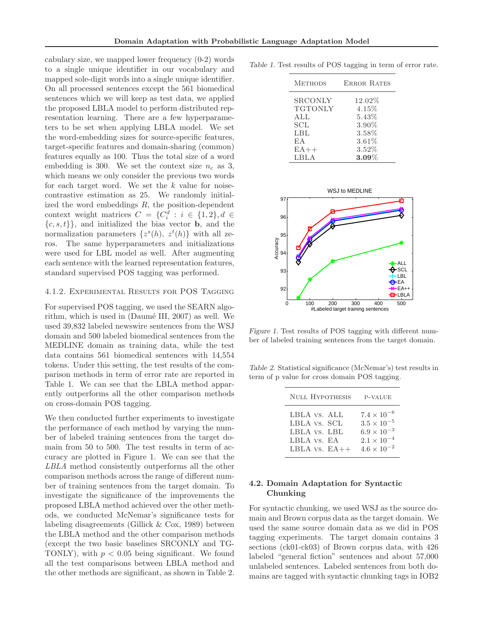cabulary size, we mapped lower frequency (0-2) words to a single unique identifier in our vocabulary and mapped sole-digit words into a single unique identifier. On all processed sentences except the 561 biomedical sentences which we will keep as test data, we applied the proposed LBLA model to perform distributed representation learning. There are a few hyperparameters to be set when applying LBLA model. We set the word-embedding sizes for source-specific features, target-specific features and domain-sharing (common) features equally as 100. Thus the total size of a word embedding is 300. We set the context size  $n_c$  as 3, which means we only consider the previous two words for each target word. We set the  $k$  value for noisecontrastive estimation as 25. We randomly initialized the word embeddings  $R$ , the position-dependent context weight matrices  $C = \{C_i^d : i \in \{1,2\}, d \in$  $\{c, s, t\}$ , and initialized the bias vector **b**, and the normalization parameters  $\{z^s(h), z^t(h)\}\$  with all zeros. The same hyperparameters and initializations were used for LBL model as well. After augmenting each sentence with the learned representation features, standard supervised POS tagging was performed.

#### 4.1.2. Experimental Results for POS Tagging

For supervised POS tagging, we used the SEARN algorithm, which is used in  $(Da$ umé III, 2007) as well. We used 39,832 labeled newswire sentences from the WSJ domain and 500 labeled biomedical sentences from the MEDLINE domain as training data, while the test data contains 561 biomedical sentences with 14,554 tokens. Under this setting, the test results of the comparison methods in term of error rate are reported in Table 1. We can see that the LBLA method apparently outperforms all the other comparison methods on cross-domain POS tagging.

We then conducted further experiments to investigate the performance of each method by varying the number of labeled training sentences from the target domain from 50 to 500. The test results in term of accuracy are plotted in Figure 1. We can see that the LBLA method consistently outperforms all the other comparison methods across the range of different number of training sentences from the target domain. To investigate the significance of the improvements the proposed LBLA method achieved over the other methods, we conducted McNemar's significance tests for labeling disagreements (Gillick & Cox, 1989) between the LBLA method and the other comparison methods (except the two basic baselines SRCONLY and TG-TONLY), with  $p < 0.05$  being significant. We found all the test comparisons between LBLA method and the other methods are significant, as shown in Table 2.

Table 1. Test results of POS tagging in term of error rate.

| <b>METHODS</b> | <b>ERROR RATES</b> |
|----------------|--------------------|
| <b>SRCONLY</b> | 12.02%             |
| <b>TGTONLY</b> | 4.15%              |
| ALL            | 5.43%              |
| <b>SCL</b>     | 3.90%              |
| LBL            | 3.58%              |
| E A            | 3.61%              |
| $EA++$         | $3.52\%$           |
| LBLA           | $3.09\%$           |



Figure 1. Test results of POS tagging with different number of labeled training sentences from the target domain.

Table 2. Statistical significance (McNemar's) test results in term of p value for cross domain POS tagging.

| <b>NULL HYPOTHESIS</b> | P-VALUE              |
|------------------------|----------------------|
| LBLA vs. ALL           | $7.4 \times 10^{-6}$ |
| LBLA vs. SCL           | $3.5\times10^{-5}$   |
| LBLA vs. LBL           | $6.9 \times 10^{-3}$ |
| LBLA vs. EA            | $2.1 \times 10^{-4}$ |
| LBLA $vs. EA++$        | $4.6 \times 10^{-2}$ |

### 4.2. Domain Adaptation for Syntactic Chunking

For syntactic chunking, we used WSJ as the source domain and Brown corpus data as the target domain. We used the same source domain data as we did in POS tagging experiments. The target domain contains 3 sections (ck01-ck03) of Brown corpus data, with 426 labeled "general fiction" sentences and about 57,000 unlabeled sentences. Labeled sentences from both domains are tagged with syntactic chunking tags in IOB2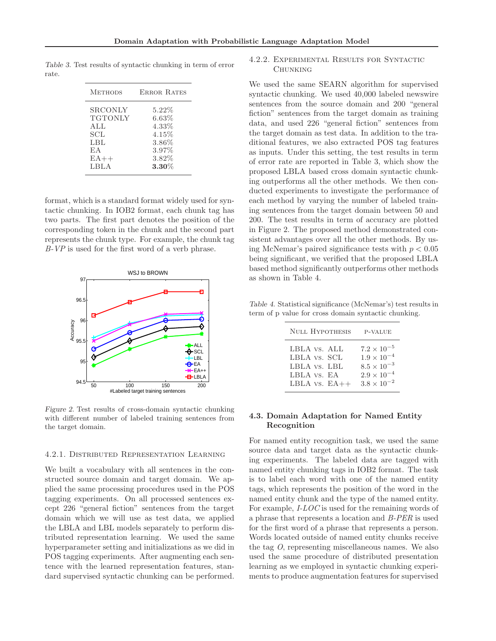Table 3. Test results of syntactic chunking in term of error rate.

| <b>METHODS</b> | <b>ERROR RATES</b> |
|----------------|--------------------|
| <b>SRCONLY</b> | $5.22\%$           |
| <b>TGTONLY</b> | 6.63%              |
| ALL            | 4.33%              |
| SCL            | 4.15%              |
| LBL            | 3.86%              |
| EA             | 3.97%              |
| $EA++$         | 3.82%              |
| LBLA           | $3.30\%$           |

format, which is a standard format widely used for syntactic chunking. In IOB2 format, each chunk tag has two parts. The first part denotes the position of the corresponding token in the chunk and the second part represents the chunk type. For example, the chunk tag B-VP is used for the first word of a verb phrase.



Figure 2. Test results of cross-domain syntactic chunking with different number of labeled training sentences from the target domain.

#### 4.2.1. Distributed Representation Learning

We built a vocabulary with all sentences in the constructed source domain and target domain. We applied the same processing procedures used in the POS tagging experiments. On all processed sentences except 226 "general fiction" sentences from the target domain which we will use as test data, we applied the LBLA and LBL models separately to perform distributed representation learning. We used the same hyperparameter setting and initializations as we did in POS tagging experiments. After augmenting each sentence with the learned representation features, standard supervised syntactic chunking can be performed.

### 4.2.2. Experimental Results for Syntactic **CHUNKING**

We used the same SEARN algorithm for supervised syntactic chunking. We used 40,000 labeled newswire sentences from the source domain and 200 "general fiction" sentences from the target domain as training data, and used 226 "general fiction" sentences from the target domain as test data. In addition to the traditional features, we also extracted POS tag features as inputs. Under this setting, the test results in term of error rate are reported in Table 3, which show the proposed LBLA based cross domain syntactic chunking outperforms all the other methods. We then conducted experiments to investigate the performance of each method by varying the number of labeled training sentences from the target domain between 50 and 200. The test results in term of accuracy are plotted in Figure 2. The proposed method demonstrated consistent advantages over all the other methods. By using McNemar's paired significance tests with  $p < 0.05$ being significant, we verified that the proposed LBLA based method significantly outperforms other methods as shown in Table 4.

Table 4. Statistical significance (McNemar's) test results in term of p value for cross domain syntactic chunking.

| NULL HYPOTHESIS | P-VALUE              |
|-----------------|----------------------|
| LBLA vs. ALL    | $7.2 \times 10^{-5}$ |
| LBLA vs. SCL    | $1.9 \times 10^{-4}$ |
| LBLA vs. LBL    | $8.5 \times 10^{-3}$ |
| LBLA vs. EA     | $2.9 \times 10^{-4}$ |
| LBLA $vs. EA++$ | $3.8 \times 10^{-2}$ |

### 4.3. Domain Adaptation for Named Entity Recognition

For named entity recognition task, we used the same source data and target data as the syntactic chunking experiments. The labeled data are tagged with named entity chunking tags in IOB2 format. The task is to label each word with one of the named entity tags, which represents the position of the word in the named entity chunk and the type of the named entity. For example, I-LOC is used for the remaining words of a phrase that represents a location and B-PER is used for the first word of a phrase that represents a person. Words located outside of named entity chunks receive the tag O, representing miscellaneous names. We also used the same procedure of distributed presentation learning as we employed in syntactic chunking experiments to produce augmentation features for supervised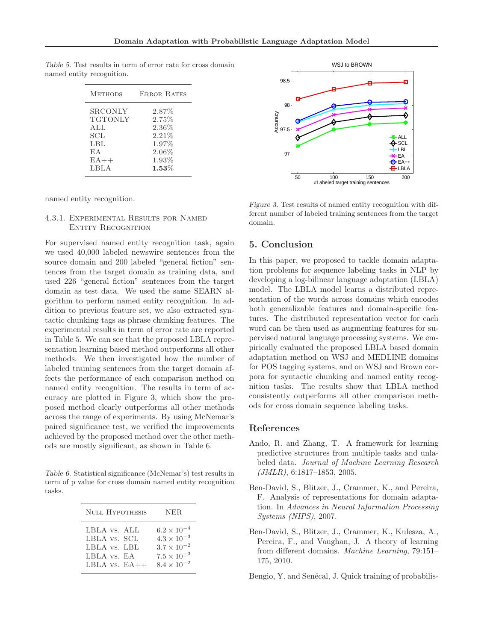| <b>METHODS</b> | <b>ERROR RATES</b> |
|----------------|--------------------|
| SRCONLY        | $2.87\%$           |
| <b>TGTONLY</b> | 2.75%              |
| ALL            | $2.36\%$           |
| SCL            | 2.21%              |
| LBL            | 1.97%              |
| EA             | $2.06\%$           |
| $EA++$         | 1.93%              |
| LBLA           | $1.53\%$           |

Table 5. Test results in term of error rate for cross domain named entity recognition.

named entity recognition.

### 4.3.1. Experimental Results for Named ENTITY RECOGNITION

For supervised named entity recognition task, again we used 40,000 labeled newswire sentences from the source domain and 200 labeled "general fiction" sentences from the target domain as training data, and used 226 "general fiction" sentences from the target domain as test data. We used the same SEARN algorithm to perform named entity recognition. In addition to previous feature set, we also extracted syntactic chunking tags as phrase chunking features. The experimental results in term of error rate are reported in Table 5. We can see that the proposed LBLA representation learning based method outperforms all other methods. We then investigated how the number of labeled training sentences from the target domain affects the performance of each comparison method on named entity recognition. The results in term of accuracy are plotted in Figure 3, which show the proposed method clearly outperforms all other methods across the range of experiments. By using McNemar's paired significance test, we verified the improvements achieved by the proposed method over the other methods are mostly significant, as shown in Table 6.

Table 6. Statistical significance (McNemar's) test results in term of p value for cross domain named entity recognition tasks.

| NULL HYPOTHESIS | NER.                 |
|-----------------|----------------------|
| LBLA vs. ALL    | $6.2 \times 10^{-4}$ |
| LBLA vs. SCL    | $4.3 \times 10^{-3}$ |
| LBLA vs. LBL    | $3.7 \times 10^{-2}$ |
| LBLA vs. EA     | $7.5 \times 10^{-3}$ |
| LBLA $vs. EA++$ | $8.4 \times 10^{-2}$ |



Figure 3. Test results of named entity recognition with different number of labeled training sentences from the target domain.

# 5. Conclusion

In this paper, we proposed to tackle domain adaptation problems for sequence labeling tasks in NLP by developing a log-bilinear language adaptation (LBLA) model. The LBLA model learns a distributed representation of the words across domains which encodes both generalizable features and domain-specific features. The distributed representation vector for each word can be then used as augmenting features for supervised natural language processing systems. We empirically evaluated the proposed LBLA based domain adaptation method on WSJ and MEDLINE domains for POS tagging systems, and on WSJ and Brown corpora for syntactic chunking and named entity recognition tasks. The results show that LBLA method consistently outperforms all other comparison methods for cross domain sequence labeling tasks.

#### References

- Ando, R. and Zhang, T. A framework for learning predictive structures from multiple tasks and unlabeled data. Journal of Machine Learning Research (JMLR), 6:1817–1853, 2005.
- Ben-David, S., Blitzer, J., Crammer, K., and Pereira, F. Analysis of representations for domain adaptation. In Advances in Neural Information Processing Systems (NIPS), 2007.
- Ben-David, S., Blitzer, J., Crammer, K., Kulesza, A., Pereira, F., and Vaughan, J. A theory of learning from different domains. Machine Learning, 79:151– 175, 2010.
- Bengio, Y. and Senécal, J. Quick training of probabilis-